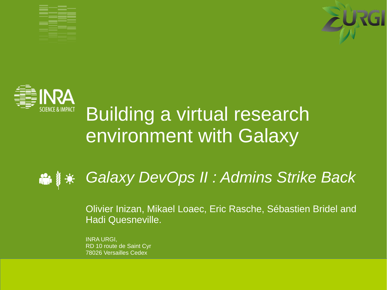





## Building a virtual research environment with Galaxy

#### *Galaxy DevOps II : Admins Strike Back* **in** y

Olivier Inizan, Mikael Loaec, Eric Rasche, Sébastien Bridel and Hadi Quesneville.

**INRA URGI** RD 10 route de Saint Cyr 78026 Versailles Cedex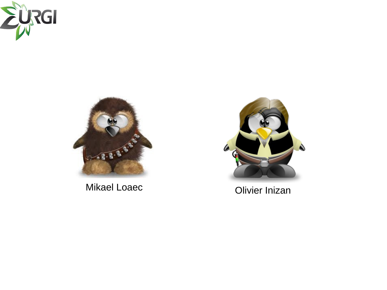



Mikael Loaec **Olivier Inizan** 

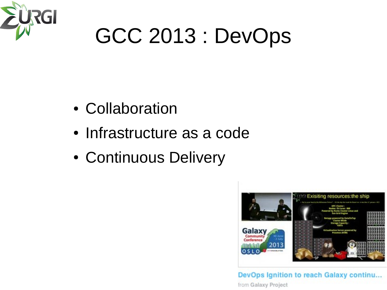

## GCC 2013 : DevOps

- Collaboration
- Infrastructure as a code
- Continuous Delivery



DevOps Ignition to reach Galaxy continu... from Galaxy Project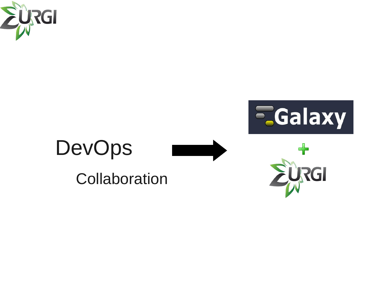



# DevOps

Collaboration

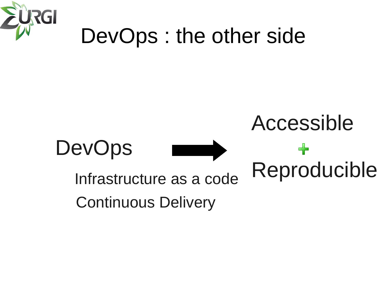

## DevOps : the other side

## Accessible

╇

Reproducible





Infrastructure as a code

Continuous Delivery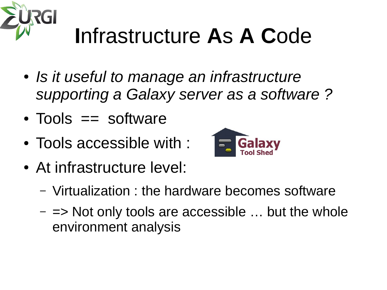

## **I**nfrastructure **A**s **A C**ode

- *Is it useful to manage an infrastructure supporting a Galaxy server as a software ?*
- $\bullet$  Tools  $==$  software
- Tools accessible with :
- At infrastructure level:



- Virtualization : the hardware becomes software
- $\Rightarrow$  Not only tools are accessible  $\ldots$  but the whole environment analysis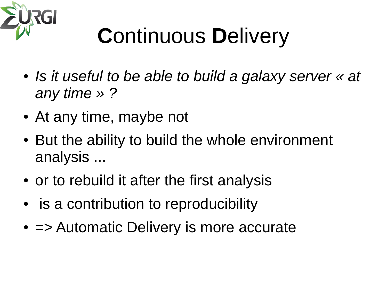

# **C**ontinuous **D**elivery

- *Is it useful to be able to build a galaxy server*  $\kappa$  at *any time » ?*
- At any time, maybe not
- But the ability to build the whole environment analysis ...
- or to rebuild it after the first analysis
- is a contribution to reproducibility
- $\bullet$   $\Rightarrow$  Automatic Delivery is more accurate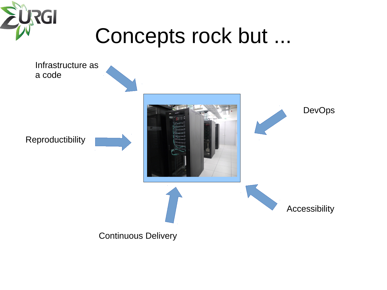

## Concepts rock but ...

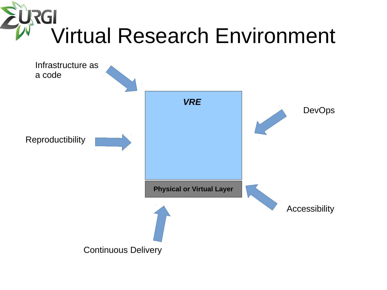

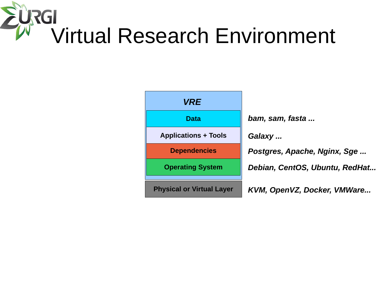## **URGI** Virtual Research Environment

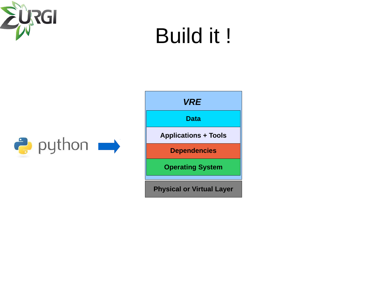

## Build it !



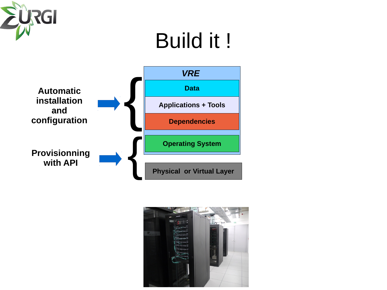

## Build it !



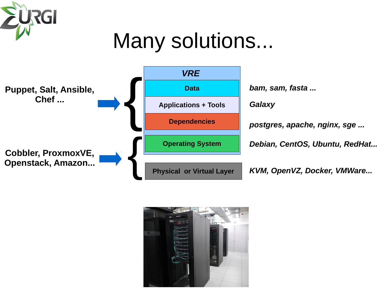

## Many solutions...



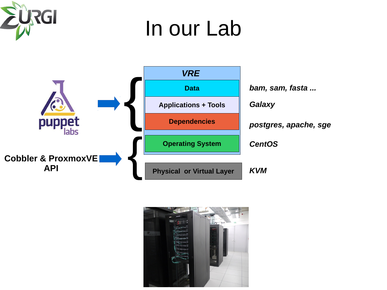

## In our Lab



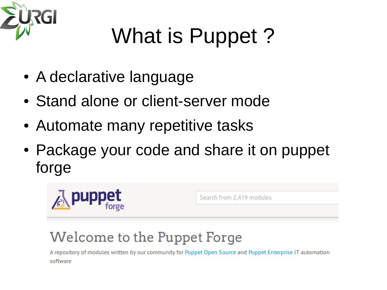

# What is Puppet ?

- A declarative language
- Stand alone or client-server mode
- Automate many repetitive tasks
- Package your code and share it on puppet forge



## Welcome to the Puppet Forge

A repository of modules written by our community for Puppet Open Source and Puppet Enterprise IT automation software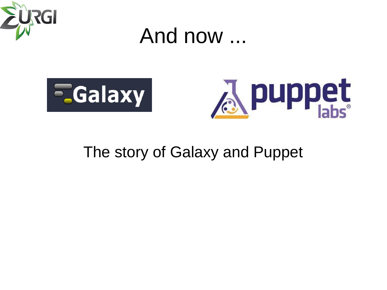

And now ...





### The story of Galaxy and Puppet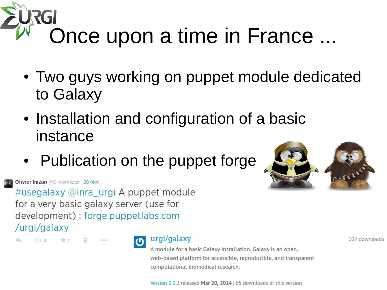# Once upon a time in France ...

- Two guys working on puppet module dedicated to Galaxy
- Installation and configuration of a basic instance
- Publication on the puppet forge



Olivier Inizan @OlivierInizan · 28 févr.

#usegalaxy @inra\_urgi A puppet module for a very basic galaxy server (use for development) : forge.puppetlabs.com /urgi/galaxy



urgi/galaxy

A module for a basic Galaxy installation. Galaxy is an open, web-based platform for accessible, reproducible, and transparent computational biomedical research.

107 downloads

Version 0.0.2 released Mar 20, 2014 | 65 downloads of this version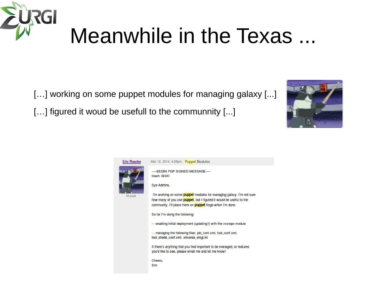

## Meanwhile in the Texas ...

[...] working on some puppet modules for managing galaxy [...]

[...] figured it woud be usefull to the communnity [...]



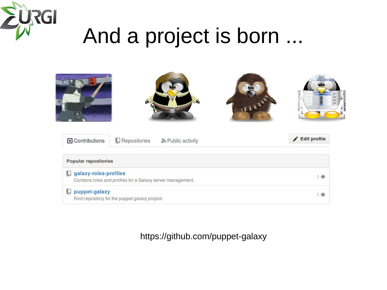

## And a project is born ...

|                                                                                      |                       |                   | 0-8-8-8-8 |              |
|--------------------------------------------------------------------------------------|-----------------------|-------------------|-----------|--------------|
| <b>E</b> Contributions                                                               | <b>E</b> Repositories | ה Public activity |           | Edit profile |
| <b>Popular repositories</b>                                                          |                       |                   |           |              |
| galaxy-roles-profiles<br>Contains roles and profiles for a Galaxy server management. |                       |                   |           | 1 會          |
| puppet-galaxy<br>Root repository for the puppet galaxy project.                      |                       |                   |           | 1 食          |

#### https://github.com/puppet-galaxy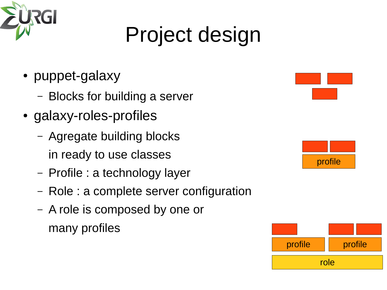

# Project design

- puppet-galaxy
	- Blocks for building a server
- galaxy-roles-profiles
	- Agregate building blocks in ready to use classes
	- Profile : a technology layer
	- Role : a complete server configuration
	- A role is composed by one or many profiles





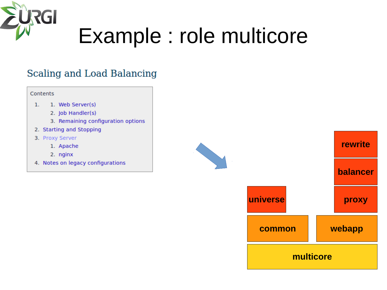

## Example : role multicore

### Scaling and Load Balancing

#### Contents

- 1. Web Server(s)  $\mathbf{1}$ .
	- 2. Job Handler(s)
	- 3. Remaining configuration options
- 2. Starting and Stopping
- 3. Proxy Server
	- 1. Apache
	- 2. nginx
- 4. Notes on legacy configurations

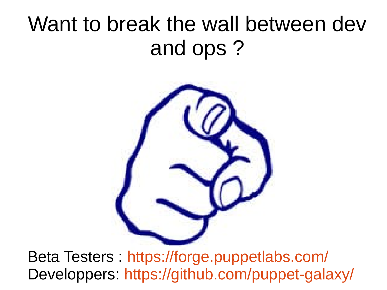## Want to break the wall between dev and ops ?



Beta Testers : <https://forge.puppetlabs.com/> Developpers: https://github.com/puppet-galaxy/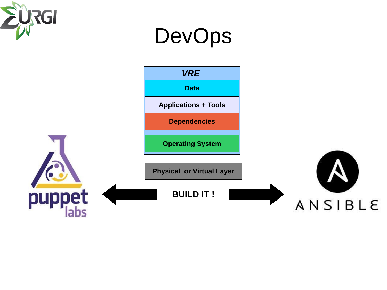



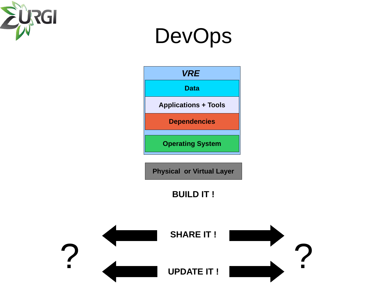

## DevOps





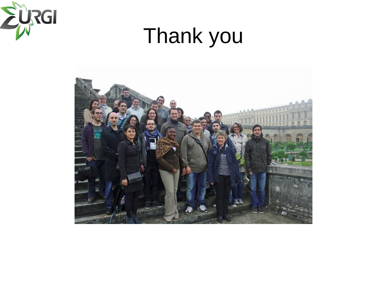

## Thank you